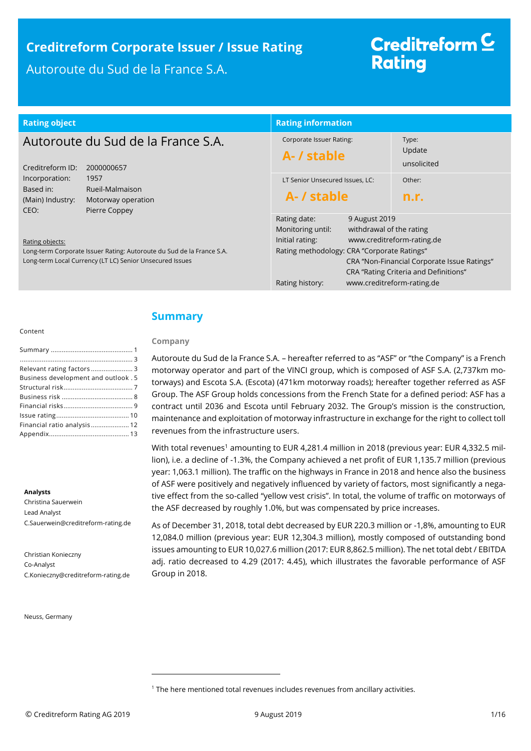### **Creditreform Corporate Issuer / Issue Rating** Autoroute du Sud de la France S.A.

# Creditreform<sup>C</sup> **Rating**

| <b>Rating object</b>                                    |                                                                                                                                   | <b>Rating information</b>                                                                                              |                                                                         |                                                                                                                    |
|---------------------------------------------------------|-----------------------------------------------------------------------------------------------------------------------------------|------------------------------------------------------------------------------------------------------------------------|-------------------------------------------------------------------------|--------------------------------------------------------------------------------------------------------------------|
| Creditreform ID:                                        | Autoroute du Sud de la France S.A.<br>2000000657                                                                                  | <b>Corporate Issuer Rating:</b><br>A- / stable                                                                         |                                                                         | Type:<br>Update<br>unsolicited                                                                                     |
| Incorporation:<br>Based in:<br>(Main) Industry:<br>CEO: | 1957<br>Rueil-Malmaison<br>Motorway operation<br>Pierre Coppey                                                                    | LT Senior Unsecured Issues, LC:<br>A- / stable                                                                         |                                                                         | Other:<br>n.r.                                                                                                     |
| Rating objects:                                         | Long-term Corporate Issuer Rating: Autoroute du Sud de la France S.A.<br>Long-term Local Currency (LT LC) Senior Unsecured Issues | Rating date:<br>Monitoring until:<br>Initial rating:<br>Rating methodology: CRA "Corporate Ratings"<br>Rating history: | 9 August 2019<br>withdrawal of the rating<br>www.creditreform-rating.de | www.creditreform-rating.de<br>CRA "Non-Financial Corporate Issue Ratings"<br>CRA "Rating Criteria and Definitions" |

#### Content

| Business development and outlook. 5 |
|-------------------------------------|
|                                     |
|                                     |
|                                     |
|                                     |
| Financial ratio analysis 12         |
|                                     |

#### **Analysts**

Christina Sauerwein Lead Analyst C.Sauerwein@creditreform-rating.de

Christian Konieczny Co-Analyst C.Konieczny@creditreform-rating.de

Neuss, Germany

### <span id="page-0-0"></span>**Summary**

### **Company**

Autoroute du Sud de la France S.A. – hereafter referred to as "ASF" or "the Company" is a French motorway operator and part of the VINCI group, which is composed of ASF S.A. (2,737km motorways) and Escota S.A. (Escota) (471km motorway roads); hereafter together referred as ASF Group. The ASF Group holds concessions from the French State for a defined period: ASF has a contract until 2036 and Escota until February 2032. The Group's mission is the construction, maintenance and exploitation of motorway infrastructure in exchange for the right to collect toll revenues from the infrastructure users.

With total revenues<sup>1</sup> amounting to EUR 4,281.4 million in 2018 (previous year: EUR 4,332.5 million), i.e. a decline of -1.3%, the Company achieved a net profit of EUR 1,135.7 million (previous year: 1,063.1 million). The traffic on the highways in France in 2018 and hence also the business of ASF were positively and negatively influenced by variety of factors, most significantly a negative effect from the so-called "yellow vest crisis". In total, the volume of traffic on motorways of the ASF decreased by roughly 1.0%, but was compensated by price increases.

As of December 31, 2018, total debt decreased by EUR 220.3 million or -1,8%, amounting to EUR 12,084.0 million (previous year: EUR 12,304.3 million), mostly composed of outstanding bond issues amounting to EUR 10,027.6 million (2017: EUR 8,862.5 million). The net total debt / EBITDA adj. ratio decreased to 4.29 (2017: 4.45), which illustrates the favorable performance of ASF Group in 2018.

 $\overline{a}$ 

<sup>&</sup>lt;sup>1</sup> The here mentioned total revenues includes revenues from ancillary activities.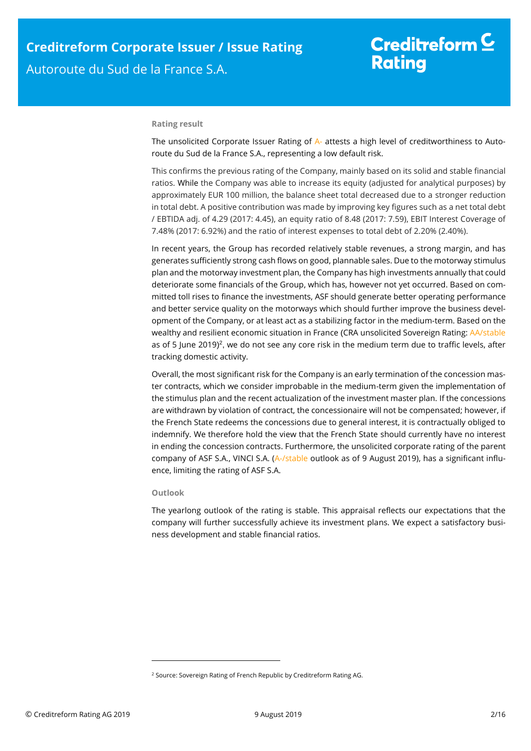# Creditreform  $C$ **Rating**

#### **Rating result**

The unsolicited Corporate Issuer Rating of A- attests a high level of creditworthiness to Autoroute du Sud de la France S.A., representing a low default risk.

This confirms the previous rating of the Company, mainly based on its solid and stable financial ratios. While the Company was able to increase its equity (adjusted for analytical purposes) by approximately EUR 100 million, the balance sheet total decreased due to a stronger reduction in total debt. A positive contribution was made by improving key figures such as a net total debt / EBTIDA adj. of 4.29 (2017: 4.45), an equity ratio of 8.48 (2017: 7.59), EBIT Interest Coverage of 7.48% (2017: 6.92%) and the ratio of interest expenses to total debt of 2.20% (2.40%).

In recent years, the Group has recorded relatively stable revenues, a strong margin, and has generates sufficiently strong cash flows on good, plannable sales. Due to the motorway stimulus plan and the motorway investment plan, the Company has high investments annually that could deteriorate some financials of the Group, which has, however not yet occurred. Based on committed toll rises to finance the investments, ASF should generate better operating performance and better service quality on the motorways which should further improve the business development of the Company, or at least act as a stabilizing factor in the medium-term. Based on the wealthy and resilient economic situation in France (CRA unsolicited Sovereign Rating: AA/stable as of 5 June 2019)<sup>2</sup>, we do not see any core risk in the medium term due to traffic levels, after tracking domestic activity.

Overall, the most significant risk for the Company is an early termination of the concession master contracts, which we consider improbable in the medium-term given the implementation of the stimulus plan and the recent actualization of the investment master plan. If the concessions are withdrawn by violation of contract, the concessionaire will not be compensated; however, if the French State redeems the concessions due to general interest, it is contractually obliged to indemnify. We therefore hold the view that the French State should currently have no interest in ending the concession contracts. Furthermore, the unsolicited corporate rating of the parent company of ASF S.A., VINCI S.A. (A-/stable outlook as of 9 August 2019), has a significant influence, limiting the rating of ASF S.A.

### **Outlook**

1

The yearlong outlook of the rating is stable. This appraisal reflects our expectations that the company will further successfully achieve its investment plans. We expect a satisfactory business development and stable financial ratios.

<sup>&</sup>lt;sup>2</sup> Source: Sovereign Rating of French Republic by Creditreform Rating AG.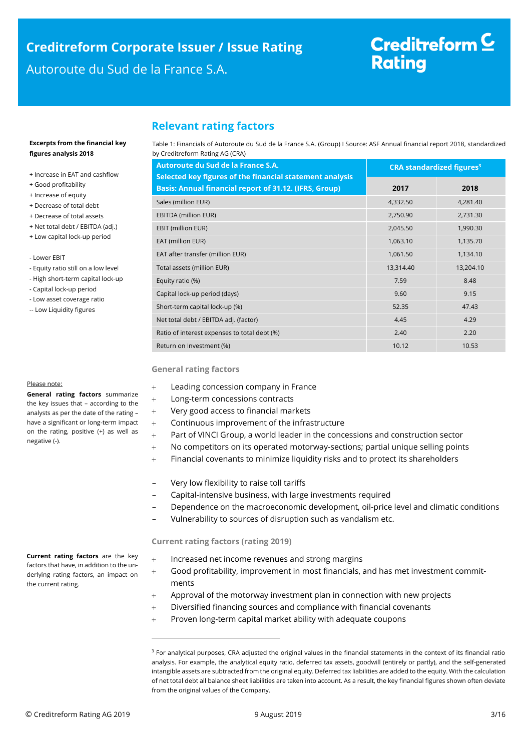# <span id="page-2-0"></span>**Creditreform Corporate Issuer / Issue Rating**

### Autoroute du Sud de la France S.A.

# Creditreform<sup>C</sup> **Rating**

### **Relevant rating factors**

Table 1: Financials of Autoroute du Sud de la France S.A. (Group) I Source: ASF Annual financial report 2018, standardized by Creditreform Rating AG (CRA)

| Autoroute du Sud de la France S.A.                                                                                        | <b>CRA standardized figures<sup>3</sup></b> |           |  |
|---------------------------------------------------------------------------------------------------------------------------|---------------------------------------------|-----------|--|
| Selected key figures of the financial statement analysis<br><b>Basis: Annual financial report of 31.12. (IFRS, Group)</b> | 2017                                        | 2018      |  |
| Sales (million EUR)                                                                                                       | 4,332.50                                    | 4,281.40  |  |
| <b>EBITDA (million EUR)</b>                                                                                               | 2,750.90                                    | 2,731.30  |  |
| EBIT (million EUR)                                                                                                        | 2,045.50                                    | 1,990.30  |  |
| EAT (million EUR)                                                                                                         | 1,063.10                                    | 1,135.70  |  |
| EAT after transfer (million EUR)                                                                                          | 1,061.50                                    | 1,134.10  |  |
| Total assets (million EUR)                                                                                                | 13,314.40                                   | 13,204.10 |  |
| Equity ratio (%)                                                                                                          | 7.59                                        | 8.48      |  |
| Capital lock-up period (days)                                                                                             | 9.60                                        | 9.15      |  |
| Short-term capital lock-up (%)                                                                                            | 52.35                                       | 47.43     |  |
| Net total debt / EBITDA adj. (factor)                                                                                     | 4.45                                        | 4.29      |  |
| Ratio of interest expenses to total debt (%)                                                                              | 2.40                                        | 2.20      |  |
| Return on Investment (%)                                                                                                  | 10.12                                       | 10.53     |  |

#### **General rating factors**

- Leading concession company in France
- Long-term concessions contracts
- Very good access to financial markets
- Continuous improvement of the infrastructure
- Part of VINCI Group, a world leader in the concessions and construction sector
- No competitors on its operated motorway-sections; partial unique selling points
- Financial covenants to minimize liquidity risks and to protect its shareholders
- Very low flexibility to raise toll tariffs
- Capital-intensive business, with large investments required
- Dependence on the macroeconomic development, oil-price level and climatic conditions
- Vulnerability to sources of disruption such as vandalism etc.

### **Current rating factors (rating 2019)**

 $\overline{a}$ 

- + Increased net income revenues and strong margins
- Good profitability, improvement in most financials, and has met investment commitments
- Approval of the motorway investment plan in connection with new projects
- Diversified financing sources and compliance with financial covenants
- Proven long-term capital market ability with adequate coupons

#### **Excerpts from the financial key figures analysis 2018**

- + Increase in EAT and cashflow
- + Good profitability
- + Increase of equity
- + Decrease of total debt
- + Decrease of total assets
- + Net total debt / EBITDA (adj.) + Low capital lock-up period
- Lower EBIT
- Equity ratio still on a low level
- High short-term capital lock-up
- Capital lock-up period
- Low asset coverage ratio
- -- Low Liquidity figures

#### Please note:

**General rating factors** summarize the key issues that – according to the analysts as per the date of the rating – have a significant or long-term impact on the rating, positive (+) as well as negative (-).

**Current rating factors** are the key factors that have, in addition to the underlying rating factors, an impact on

the current rating.

<sup>&</sup>lt;sup>3</sup> For analytical purposes, CRA adjusted the original values in the financial statements in the context of its financial ratio analysis. For example, the analytical equity ratio, deferred tax assets, goodwill (entirely or partly), and the self-generated intangible assets are subtracted from the original equity. Deferred tax liabilities are added to the equity. With the calculation of net total debt all balance sheet liabilities are taken into account. As a result, the key financial figures shown often deviate from the original values of the Company.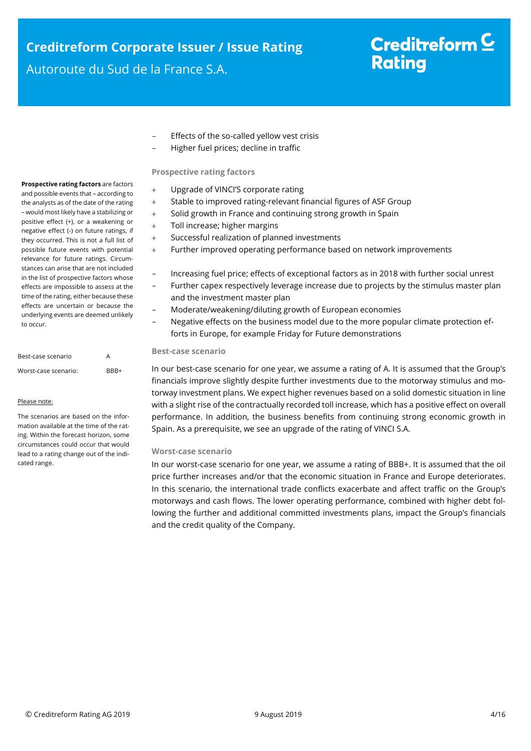# **Creditreform Corporate Issuer / Issue Rating**

Autoroute du Sud de la France S.A.

# Creditreform<sup>C</sup> **Rating**

- Effects of the so-called yellow vest crisis
- Higher fuel prices; decline in traffic

### **Prospective rating factors**

- Upgrade of VINCI'S corporate rating
- Stable to improved rating-relevant financial figures of ASF Group
- + Solid growth in France and continuing strong growth in Spain
- + Toll increase; higher margins
- Successful realization of planned investments
- Further improved operating performance based on network improvements
- Increasing fuel price; effects of exceptional factors as in 2018 with further social unrest
- Further capex respectively leverage increase due to projects by the stimulus master plan and the investment master plan
- Moderate/weakening/diluting growth of European economies
- Negative effects on the business model due to the more popular climate protection efforts in Europe, for example Friday for Future demonstrations

### **Best-case scenario**

In our best-case scenario for one year, we assume a rating of A. It is assumed that the Group's financials improve slightly despite further investments due to the motorway stimulus and motorway investment plans. We expect higher revenues based on a solid domestic situation in line with a slight rise of the contractually recorded toll increase, which has a positive effect on overall performance. In addition, the business benefits from continuing strong economic growth in Spain. As a prerequisite, we see an upgrade of the rating of VINCI S.A.

### **Worst-case scenario**

In our worst-case scenario for one year, we assume a rating of BBB+. It is assumed that the oil price further increases and/or that the economic situation in France and Europe deteriorates. In this scenario, the international trade conflicts exacerbate and affect traffic on the Group's motorways and cash flows. The lower operating performance, combined with higher debt following the further and additional committed investments plans, impact the Group's financials and the credit quality of the Company.

**Prospective rating factors** are factors and possible events that – according to the analysts as of the date of the rating – would most likely have a stabilizing or positive effect (+), or a weakening or negative effect (-) on future ratings, if they occurred. This is not a full list of possible future events with potential relevance for future ratings. Circumstances can arise that are not included in the list of prospective factors whose effects are impossible to assess at the time of the rating, either because these effects are uncertain or because the underlying events are deemed unlikely to occur.

| Best-case scenario   | А    |
|----------------------|------|
| Worst-case scenario: | RRR+ |

#### Please note:

The scenarios are based on the information available at the time of the rating. Within the forecast horizon, some circumstances could occur that would lead to a rating change out of the indicated range.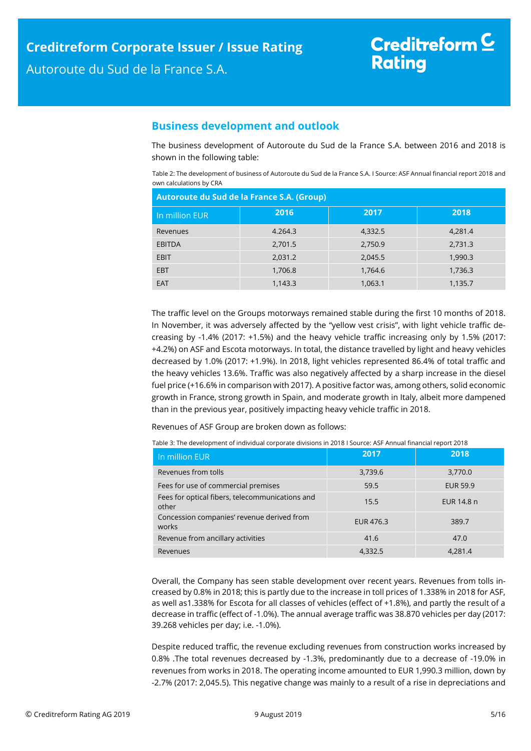### <span id="page-4-0"></span>**Business development and outlook**

The business development of Autoroute du Sud de la France S.A. between 2016 and 2018 is shown in the following table:

Table 2: The development of business of Autoroute du Sud de la France S.A. I Source: ASF Annual financial report 2018 and own calculations by CRA

| Autoroute du Sud de la France S.A. (Group) |         |         |         |  |  |
|--------------------------------------------|---------|---------|---------|--|--|
| In million EUR                             | 2016    | 2017    | 2018    |  |  |
| Revenues                                   | 4.264.3 | 4,332.5 | 4.281.4 |  |  |
| <b>EBITDA</b>                              | 2,701.5 | 2,750.9 | 2,731.3 |  |  |
| <b>EBIT</b>                                | 2,031.2 | 2,045.5 | 1,990.3 |  |  |
| <b>EBT</b>                                 | 1,706.8 | 1,764.6 | 1,736.3 |  |  |
| <b>EAT</b>                                 | 1,143.3 | 1,063.1 | 1,135.7 |  |  |

The traffic level on the Groups motorways remained stable during the first 10 months of 2018. In November, it was adversely affected by the "yellow vest crisis", with light vehicle traffic decreasing by -1.4% (2017: +1.5%) and the heavy vehicle traffic increasing only by 1.5% (2017: +4.2%) on ASF and Escota motorways. In total, the distance travelled by light and heavy vehicles decreased by 1.0% (2017: +1.9%). In 2018, light vehicles represented 86.4% of total traffic and the heavy vehicles 13.6%. Traffic was also negatively affected by a sharp increase in the diesel fuel price (+16.6% in comparison with 2017). A positive factor was, among others, solid economic growth in France, strong growth in Spain, and moderate growth in Italy, albeit more dampened than in the previous year, positively impacting heavy vehicle traffic in 2018.

Revenues of ASF Group are broken down as follows:

| In million EUR                                           | 2017      | 2018            |
|----------------------------------------------------------|-----------|-----------------|
| Revenues from tolls                                      | 3,739.6   | 3,770.0         |
| Fees for use of commercial premises                      | 59.5      | <b>EUR 59.9</b> |
| Fees for optical fibers, telecommunications and<br>other | 15.5      | EUR 14.8 n      |
| Concession companies' revenue derived from<br>works      | EUR 476.3 | 389.7           |
| Revenue from ancillary activities                        | 41.6      | 47.0            |
| Revenues                                                 | 4,332.5   | 4.281.4         |

Table 3: The development of individual corporate divisions in 2018 I Source: ASF Annual financial report 2018

Overall, the Company has seen stable development over recent years. Revenues from tolls increased by 0.8% in 2018; this is partly due to the increase in toll prices of 1.338% in 2018 for ASF, as well as1.338% for Escota for all classes of vehicles (effect of +1.8%), and partly the result of a decrease in traffic (effect of -1.0%). The annual average traffic was 38.870 vehicles per day (2017: 39.268 vehicles per day; i.e. -1.0%).

Despite reduced traffic, the revenue excluding revenues from construction works increased by 0.8% .The total revenues decreased by -1.3%, predominantly due to a decrease of -19.0% in revenues from works in 2018. The operating income amounted to EUR 1,990.3 million, down by -2.7% (2017: 2,045.5). This negative change was mainly to a result of a rise in depreciations and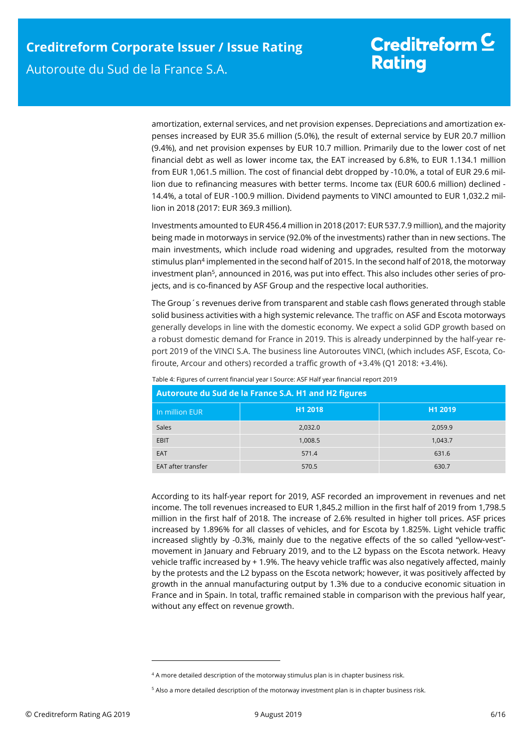amortization, external services, and net provision expenses. Depreciations and amortization expenses increased by EUR 35.6 million (5.0%), the result of external service by EUR 20.7 million (9.4%), and net provision expenses by EUR 10.7 million. Primarily due to the lower cost of net financial debt as well as lower income tax, the EAT increased by 6.8%, to EUR 1.134.1 million from EUR 1,061.5 million. The cost of financial debt dropped by -10.0%, a total of EUR 29.6 million due to refinancing measures with better terms. Income tax (EUR 600.6 million) declined - 14.4%, a total of EUR -100.9 million. Dividend payments to VINCI amounted to EUR 1,032.2 million in 2018 (2017: EUR 369.3 million).

Investments amounted to EUR 456.4 million in 2018 (2017: EUR 537.7.9 million), and the majority being made in motorways in service (92.0% of the investments) rather than in new sections. The main investments, which include road widening and upgrades, resulted from the motorway stimulus plan<sup>4</sup> implemented in the second half of 2015. In the second half of 2018, the motorway investment plan<sup>5</sup>, announced in 2016, was put into effect. This also includes other series of projects, and is co-financed by ASF Group and the respective local authorities.

The Group´s revenues derive from transparent and stable cash flows generated through stable solid business activities with a high systemic relevance*.* The traffic on ASF and Escota motorways generally develops in line with the domestic economy. We expect a solid GDP growth based on a robust domestic demand for France in 2019. This is already underpinned by the half-year report 2019 of the VINCI S.A. The business line Autoroutes VINCI, (which includes ASF, Escota, Cofiroute, Arcour and others) recorded a traffic growth of +3.4% (Q1 2018: +3.4%).

| Autoroute du Sud de la France S.A. H1 and H2 figures |         |         |  |  |  |
|------------------------------------------------------|---------|---------|--|--|--|
| In million EUR                                       | H1 2018 | H1 2019 |  |  |  |
| Sales                                                | 2,032.0 | 2,059.9 |  |  |  |
| EBIT                                                 | 1,008.5 | 1,043.7 |  |  |  |
| EAT                                                  | 571.4   | 631.6   |  |  |  |
| <b>EAT after transfer</b>                            | 570.5   | 630.7   |  |  |  |

Table 4: Figures of current financial year I Source: ASF Half year financial report 2019

According to its half-year report for 2019, ASF recorded an improvement in revenues and net income. The toll revenues increased to EUR 1,845.2 million in the first half of 2019 from 1,798.5 million in the first half of 2018. The increase of 2.6% resulted in higher toll prices. ASF prices increased by 1.896% for all classes of vehicles, and for Escota by 1.825%. Light vehicle traffic increased slightly by -0.3%, mainly due to the negative effects of the so called "yellow-vest" movement in January and February 2019, and to the L2 bypass on the Escota network. Heavy vehicle traffic increased by + 1.9%. The heavy vehicle traffic was also negatively affected, mainly by the protests and the L2 bypass on the Escota network; however, it was positively affected by growth in the annual manufacturing output by 1.3% due to a conducive economic situation in France and in Spain. In total, traffic remained stable in comparison with the previous half year, without any effect on revenue growth.

1

<sup>&</sup>lt;sup>4</sup> A more detailed description of the motorway stimulus plan is in chapter business risk.

<sup>&</sup>lt;sup>5</sup> Also a more detailed description of the motorway investment plan is in chapter business risk.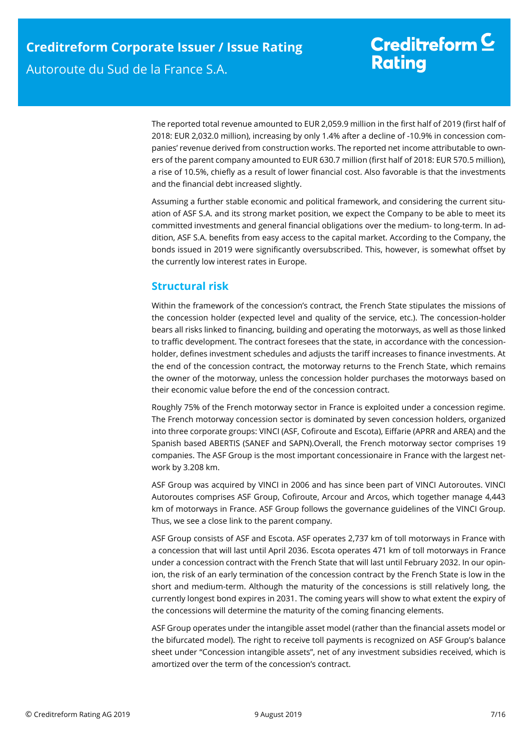The reported total revenue amounted to EUR 2,059.9 million in the first half of 2019 (first half of 2018: EUR 2,032.0 million), increasing by only 1.4% after a decline of -10.9% in concession companies' revenue derived from construction works. The reported net income attributable to owners of the parent company amounted to EUR 630.7 million (first half of 2018: EUR 570.5 million), a rise of 10.5%, chiefly as a result of lower financial cost. Also favorable is that the investments and the financial debt increased slightly.

Assuming a further stable economic and political framework, and considering the current situation of ASF S.A. and its strong market position, we expect the Company to be able to meet its committed investments and general financial obligations over the medium- to long-term. In addition, ASF S.A. benefits from easy access to the capital market. According to the Company, the bonds issued in 2019 were significantly oversubscribed. This, however, is somewhat offset by the currently low interest rates in Europe.

### <span id="page-6-0"></span>**Structural risk**

Within the framework of the concession's contract, the French State stipulates the missions of the concession holder (expected level and quality of the service, etc.). The concession-holder bears all risks linked to financing, building and operating the motorways, as well as those linked to traffic development. The contract foresees that the state, in accordance with the concessionholder, defines investment schedules and adjusts the tariff increases to finance investments. At the end of the concession contract, the motorway returns to the French State, which remains the owner of the motorway, unless the concession holder purchases the motorways based on their economic value before the end of the concession contract.

Roughly 75% of the French motorway sector in France is exploited under a concession regime. The French motorway concession sector is dominated by seven concession holders, organized into three corporate groups: VINCI (ASF, Cofiroute and Escota), Eiffarie (APRR and AREA) and the Spanish based ABERTIS (SANEF and SAPN).Overall, the French motorway sector comprises 19 companies. The ASF Group is the most important concessionaire in France with the largest network by 3.208 km.

ASF Group was acquired by VINCI in 2006 and has since been part of VINCI Autoroutes. VINCI Autoroutes comprises ASF Group, Cofiroute, Arcour and Arcos, which together manage 4,443 km of motorways in France. ASF Group follows the governance guidelines of the VINCI Group. Thus, we see a close link to the parent company.

ASF Group consists of ASF and Escota. ASF operates 2,737 km of toll motorways in France with a concession that will last until April 2036. Escota operates 471 km of toll motorways in France under a concession contract with the French State that will last until February 2032. In our opinion, the risk of an early termination of the concession contract by the French State is low in the short and medium-term. Although the maturity of the concessions is still relatively long, the currently longest bond expires in 2031. The coming years will show to what extent the expiry of the concessions will determine the maturity of the coming financing elements.

ASF Group operates under the intangible asset model (rather than the financial assets model or the bifurcated model). The right to receive toll payments is recognized on ASF Group's balance sheet under "Concession intangible assets", net of any investment subsidies received, which is amortized over the term of the concession's contract.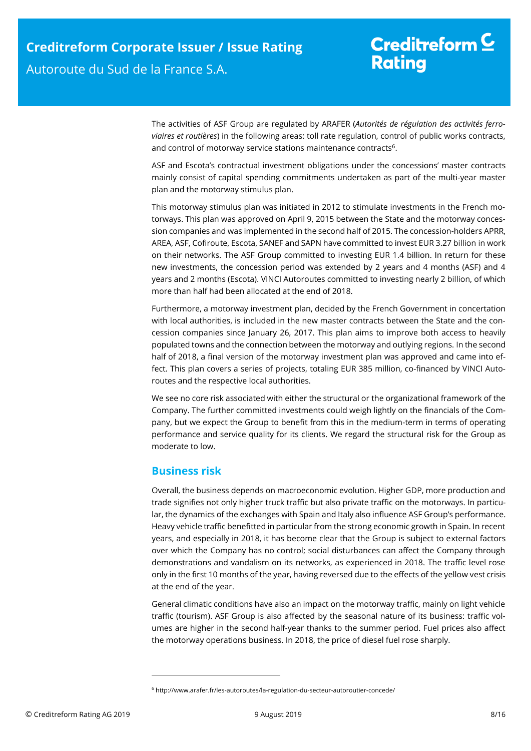The activities of ASF Group are regulated by ARAFER (*Autorités de régulation des activités ferroviaires et routières*) in the following areas: toll rate regulation, control of public works contracts, and control of motorway service stations maintenance contracts<sup>6</sup>.

ASF and Escota's contractual investment obligations under the concessions' master contracts mainly consist of capital spending commitments undertaken as part of the multi-year master plan and the motorway stimulus plan.

This motorway stimulus plan was initiated in 2012 to stimulate investments in the French motorways. This plan was approved on April 9, 2015 between the State and the motorway concession companies and was implemented in the second half of 2015. The concession-holders APRR, AREA, ASF, Cofiroute, Escota, SANEF and SAPN have committed to invest EUR 3.27 billion in work on their networks. The ASF Group committed to investing EUR 1.4 billion. In return for these new investments, the concession period was extended by 2 years and 4 months (ASF) and 4 years and 2 months (Escota). VINCI Autoroutes committed to investing nearly 2 billion, of which more than half had been allocated at the end of 2018.

Furthermore, a motorway investment plan, decided by the French Government in concertation with local authorities, is included in the new master contracts between the State and the concession companies since January 26, 2017. This plan aims to improve both access to heavily populated towns and the connection between the motorway and outlying regions. In the second half of 2018, a final version of the motorway investment plan was approved and came into effect. This plan covers a series of projects, totaling EUR 385 million, co-financed by VINCI Autoroutes and the respective local authorities.

We see no core risk associated with either the structural or the organizational framework of the Company. The further committed investments could weigh lightly on the financials of the Company, but we expect the Group to benefit from this in the medium-term in terms of operating performance and service quality for its clients. We regard the structural risk for the Group as moderate to low.

### <span id="page-7-0"></span>**Business risk**

 $\overline{a}$ 

Overall, the business depends on macroeconomic evolution. Higher GDP, more production and trade signifies not only higher truck traffic but also private traffic on the motorways. In particular, the dynamics of the exchanges with Spain and Italy also influence ASF Group's performance. Heavy vehicle traffic benefitted in particular from the strong economic growth in Spain. In recent years, and especially in 2018, it has become clear that the Group is subject to external factors over which the Company has no control; social disturbances can affect the Company through demonstrations and vandalism on its networks, as experienced in 2018. The traffic level rose only in the first 10 months of the year, having reversed due to the effects of the yellow vest crisis at the end of the year.

General climatic conditions have also an impact on the motorway traffic, mainly on light vehicle traffic (tourism). ASF Group is also affected by the seasonal nature of its business: traffic volumes are higher in the second half-year thanks to the summer period. Fuel prices also affect the motorway operations business. In 2018, the price of diesel fuel rose sharply.

<sup>6</sup> http://www.arafer.fr/les-autoroutes/la-regulation-du-secteur-autoroutier-concede/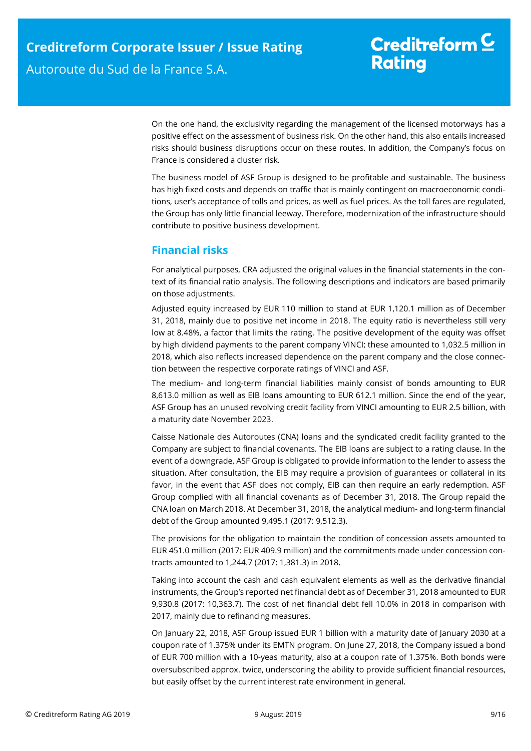On the one hand, the exclusivity regarding the management of the licensed motorways has a positive effect on the assessment of business risk. On the other hand, this also entails increased risks should business disruptions occur on these routes. In addition, the Company's focus on France is considered a cluster risk.

The business model of ASF Group is designed to be profitable and sustainable. The business has high fixed costs and depends on traffic that is mainly contingent on macroeconomic conditions, user's acceptance of tolls and prices, as well as fuel prices. As the toll fares are regulated, the Group has only little financial leeway. Therefore, modernization of the infrastructure should contribute to positive business development.

### <span id="page-8-0"></span>**Financial risks**

For analytical purposes, CRA adjusted the original values in the financial statements in the context of its financial ratio analysis. The following descriptions and indicators are based primarily on those adjustments.

Adjusted equity increased by EUR 110 million to stand at EUR 1,120.1 million as of December 31, 2018, mainly due to positive net income in 2018. The equity ratio is nevertheless still very low at 8.48%, a factor that limits the rating. The positive development of the equity was offset by high dividend payments to the parent company VINCI; these amounted to 1,032.5 million in 2018, which also reflects increased dependence on the parent company and the close connection between the respective corporate ratings of VINCI and ASF.

The medium- and long-term financial liabilities mainly consist of bonds amounting to EUR 8,613.0 million as well as EIB loans amounting to EUR 612.1 million. Since the end of the year, ASF Group has an unused revolving credit facility from VINCI amounting to EUR 2.5 billion, with a maturity date November 2023.

Caisse Nationale des Autoroutes (CNA) loans and the syndicated credit facility granted to the Company are subject to financial covenants. The EIB loans are subject to a rating clause. In the event of a downgrade, ASF Group is obligated to provide information to the lender to assess the situation. After consultation, the EIB may require a provision of guarantees or collateral in its favor, in the event that ASF does not comply, EIB can then require an early redemption. ASF Group complied with all financial covenants as of December 31, 2018. The Group repaid the CNA loan on March 2018. At December 31, 2018, the analytical medium- and long-term financial debt of the Group amounted 9,495.1 (2017: 9,512.3).

The provisions for the obligation to maintain the condition of concession assets amounted to EUR 451.0 million (2017: EUR 409.9 million) and the commitments made under concession contracts amounted to 1,244.7 (2017: 1,381.3) in 2018.

Taking into account the cash and cash equivalent elements as well as the derivative financial instruments, the Group's reported net financial debt as of December 31, 2018 amounted to EUR 9,930.8 (2017: 10,363.7). The cost of net financial debt fell 10.0% in 2018 in comparison with 2017, mainly due to refinancing measures.

On January 22, 2018, ASF Group issued EUR 1 billion with a maturity date of January 2030 at a coupon rate of 1.375% under its EMTN program. On June 27, 2018, the Company issued a bond of EUR 700 million with a 10-yeas maturity, also at a coupon rate of 1.375%. Both bonds were oversubscribed approx. twice, underscoring the ability to provide sufficient financial resources, but easily offset by the current interest rate environment in general.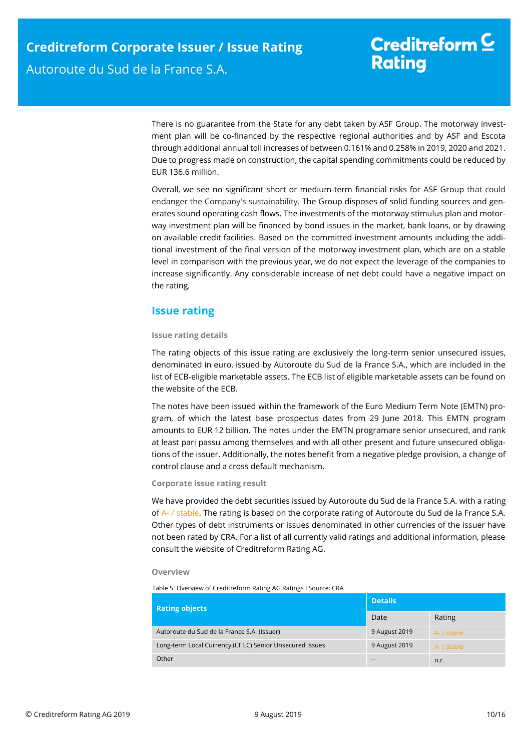There is no guarantee from the State for any debt taken by ASF Group. The motorway investment plan will be co-financed by the respective regional authorities and by ASF and Escota through additional annual toll increases of between 0.161% and 0.258% in 2019, 2020 and 2021. Due to progress made on construction, the capital spending commitments could be reduced by EUR 136.6 million.

Overall, we see no significant short or medium-term financial risks for ASF Group that could endanger the Company's sustainability. The Group disposes of solid funding sources and generates sound operating cash flows. The investments of the motorway stimulus plan and motorway investment plan will be financed by bond issues in the market, bank loans, or by drawing on available credit facilities. Based on the committed investment amounts including the additional investment of the final version of the motorway investment plan, which are on a stable level in comparison with the previous year, we do not expect the leverage of the companies to increase significantly. Any considerable increase of net debt could have a negative impact on the rating*.*

### <span id="page-9-0"></span>**Issue rating**

### **Issue rating details**

The rating objects of this issue rating are exclusively the long-term senior unsecured issues, denominated in euro, issued by Autoroute du Sud de la France S.A., which are included in the list of ECB-eligible marketable assets. The ECB list of eligible marketable assets can be found on the website of the ECB.

The notes have been issued within the framework of the Euro Medium Term Note (EMTN) program, of which the latest base prospectus dates from 29 June 2018. This EMTN program amounts to EUR 12 billion. The notes under the EMTN programare senior unsecured, and rank at least pari passu among themselves and with all other present and future unsecured obligations of the issuer. Additionally, the notes benefit from a negative pledge provision, a change of control clause and a cross default mechanism.

### **Corporate issue rating result**

We have provided the debt securities issued by Autoroute du Sud de la France S.A. with a rating of A- / stable. The rating is based on the corporate rating of Autoroute du Sud de la France S.A. Other types of debt instruments or issues denominated in other currencies of the issuer have not been rated by CRA. For a list of all currently valid ratings and additional information, please consult the website of Creditreform Rating AG.

#### **Overview**

Table 5: Overview of Creditreform Rating AG Ratings I Source: CRA

| <b>Rating objects</b> |                                                          | <b>Details</b> |             |  |
|-----------------------|----------------------------------------------------------|----------------|-------------|--|
|                       |                                                          | Date           | Rating      |  |
|                       | Autoroute du Sud de la France S.A. (Issuer)              | 9 August 2019  | A- / stable |  |
|                       | Long-term Local Currency (LT LC) Senior Unsecured Issues | 9 August 2019  | A- / stable |  |
|                       | Other                                                    | $- -$          | n.r.        |  |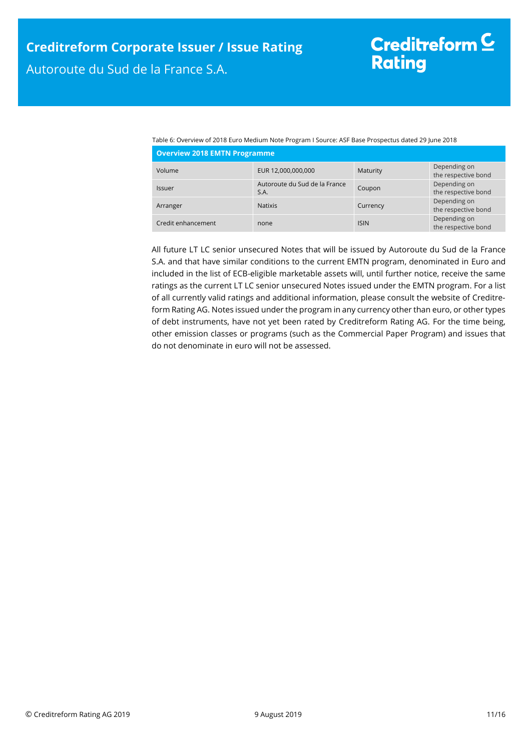Table 6: Overview of 2018 Euro Medium Note Program I Source: ASF Base Prospectus dated 29 June 2018 **Overview 2018 EMTN Programme**

| <b>OVERVIEW ZUTO ENTIN FIVEL ANIMATION</b> |                                       |             |                                     |  |
|--------------------------------------------|---------------------------------------|-------------|-------------------------------------|--|
| Volume                                     | EUR 12,000,000,000                    | Maturity    | Depending on<br>the respective bond |  |
| <b>Issuer</b>                              | Autoroute du Sud de la France<br>S.A. | Coupon      | Depending on<br>the respective bond |  |
| Arranger                                   | <b>Natixis</b>                        | Currency    | Depending on<br>the respective bond |  |
| Credit enhancement                         | none                                  | <b>ISIN</b> | Depending on<br>the respective bond |  |

All future LT LC senior unsecured Notes that will be issued by Autoroute du Sud de la France S.A. and that have similar conditions to the current EMTN program, denominated in Euro and included in the list of ECB-eligible marketable assets will, until further notice, receive the same ratings as the current LT LC senior unsecured Notes issued under the EMTN program. For a list of all currently valid ratings and additional information, please consult the website of Creditreform Rating AG. Notes issued under the program in any currency other than euro, or other types of debt instruments, have not yet been rated by Creditreform Rating AG. For the time being, other emission classes or programs (such as the Commercial Paper Program) and issues that do not denominate in euro will not be assessed.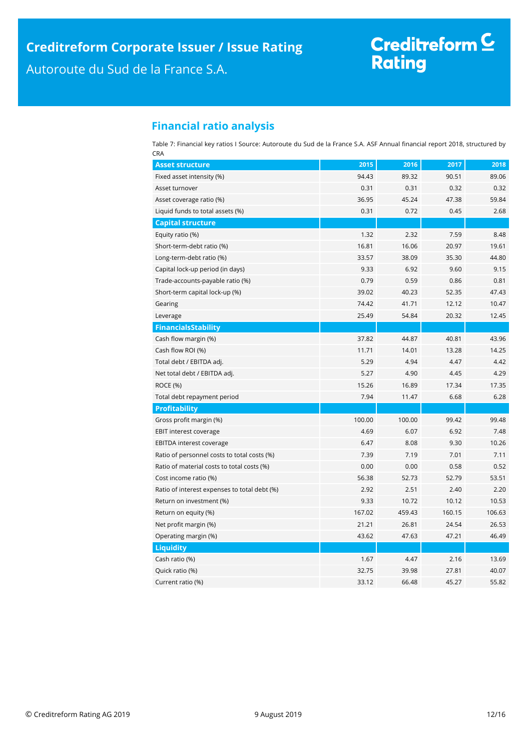# Creditreform C<br>Rating

### <span id="page-11-0"></span>**Financial ratio analysis**

Table 7: Financial key ratios I Source: Autoroute du Sud de la France S.A. ASF Annual financial report 2018, structured by CRA

| <b>Asset structure</b>                       | 2015   | 2016   | 2017   | 2018   |
|----------------------------------------------|--------|--------|--------|--------|
| Fixed asset intensity (%)                    | 94.43  | 89.32  | 90.51  | 89.06  |
| Asset turnover                               | 0.31   | 0.31   | 0.32   | 0.32   |
| Asset coverage ratio (%)                     | 36.95  | 45.24  | 47.38  | 59.84  |
| Liquid funds to total assets (%)             | 0.31   | 0.72   | 0.45   | 2.68   |
| <b>Capital structure</b>                     |        |        |        |        |
| Equity ratio (%)                             | 1.32   | 2.32   | 7.59   | 8.48   |
| Short-term-debt ratio (%)                    | 16.81  | 16.06  | 20.97  | 19.61  |
| Long-term-debt ratio (%)                     | 33.57  | 38.09  | 35.30  | 44.80  |
| Capital lock-up period (in days)             | 9.33   | 6.92   | 9.60   | 9.15   |
| Trade-accounts-payable ratio (%)             | 0.79   | 0.59   | 0.86   | 0.81   |
| Short-term capital lock-up (%)               | 39.02  | 40.23  | 52.35  | 47.43  |
| Gearing                                      | 74.42  | 41.71  | 12.12  | 10.47  |
| Leverage                                     | 25.49  | 54.84  | 20.32  | 12.45  |
| <b>FinancialsStability</b>                   |        |        |        |        |
| Cash flow margin (%)                         | 37.82  | 44.87  | 40.81  | 43.96  |
| Cash flow ROI (%)                            | 11.71  | 14.01  | 13.28  | 14.25  |
| Total debt / EBITDA adj.                     | 5.29   | 4.94   | 4.47   | 4.42   |
| Net total debt / EBITDA adj.                 | 5.27   | 4.90   | 4.45   | 4.29   |
| <b>ROCE (%)</b>                              | 15.26  | 16.89  | 17.34  | 17.35  |
| Total debt repayment period                  | 7.94   | 11.47  | 6.68   | 6.28   |
| <b>Profitability</b>                         |        |        |        |        |
| Gross profit margin (%)                      | 100.00 | 100.00 | 99.42  | 99.48  |
| EBIT interest coverage                       | 4.69   | 6.07   | 6.92   | 7.48   |
| EBITDA interest coverage                     | 6.47   | 8.08   | 9.30   | 10.26  |
| Ratio of personnel costs to total costs (%)  | 7.39   | 7.19   | 7.01   | 7.11   |
| Ratio of material costs to total costs (%)   | 0.00   | 0.00   | 0.58   | 0.52   |
| Cost income ratio (%)                        | 56.38  | 52.73  | 52.79  | 53.51  |
| Ratio of interest expenses to total debt (%) | 2.92   | 2.51   | 2.40   | 2.20   |
| Return on investment (%)                     | 9.33   | 10.72  | 10.12  | 10.53  |
| Return on equity (%)                         | 167.02 | 459.43 | 160.15 | 106.63 |
| Net profit margin (%)                        | 21.21  | 26.81  | 24.54  | 26.53  |
| Operating margin (%)                         | 43.62  | 47.63  | 47.21  | 46.49  |
| <b>Liquidity</b>                             |        |        |        |        |
| Cash ratio (%)                               | 1.67   | 4.47   | 2.16   | 13.69  |
| Quick ratio (%)                              | 32.75  | 39.98  | 27.81  | 40.07  |
| Current ratio (%)                            | 33.12  | 66.48  | 45.27  | 55.82  |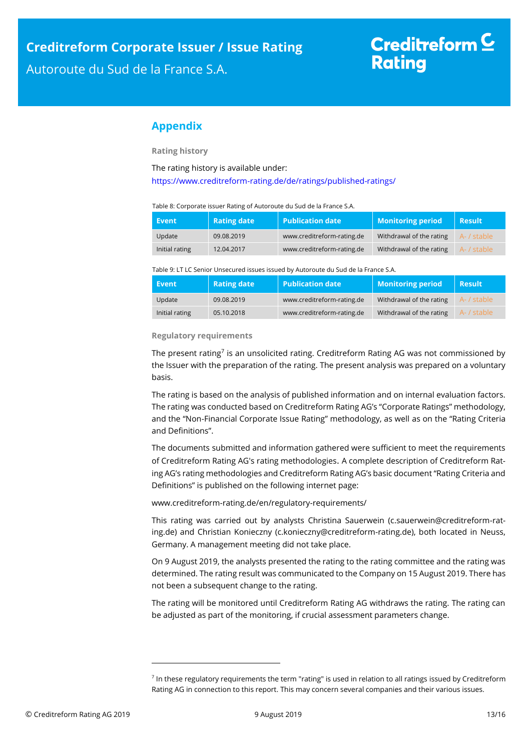# Creditreform  $\subseteq$ **Rating**

### <span id="page-12-0"></span>**Appendix**

**Rating history**

The rating history is available under:

<https://www.creditreform-rating.de/de/ratings/published-ratings/>

#### Table 8: Corporate issuer Rating of Autoroute du Sud de la France S.A.

| / Event /      | <b>Rating date</b> | <b>Publication date</b>    | <b>Monitoring period</b> | <b>Result</b> |
|----------------|--------------------|----------------------------|--------------------------|---------------|
| Update         | 09.08.2019         | www.creditreform-rating.de | Withdrawal of the rating | A- / stable   |
| Initial rating | 12.04.2017         | www.creditreform-rating.de | Withdrawal of the rating | A- / stable   |

Table 9: LT LC Senior Unsecured issues issued by Autoroute du Sud de la France S.A.

| Event          | <b>Rating date</b> | $\mid$ Publication date    | <b>Monitoring period</b> | <b>Result</b> |
|----------------|--------------------|----------------------------|--------------------------|---------------|
| Update         | 09.08.2019         | www.creditreform-rating.de | Withdrawal of the rating | A- / stable   |
| Initial rating | 05.10.2018         | www.creditreform-rating.de | Withdrawal of the rating | A- / stable   |

#### **Regulatory requirements**

The present rating<sup>7</sup> is an unsolicited rating. Creditreform Rating AG was not commissioned by the Issuer with the preparation of the rating. The present analysis was prepared on a voluntary basis.

The rating is based on the analysis of published information and on internal evaluation factors. The rating was conducted based on Creditreform Rating AG's "Corporate Ratings" methodology, and the "Non-Financial Corporate Issue Rating" methodology, as well as on the "Rating Criteria and Definitions".

The documents submitted and information gathered were sufficient to meet the requirements of Creditreform Rating AG's rating methodologies. A complete description of Creditreform Rating AG's rating methodologies and Creditreform Rating AG's basic document "Rating Criteria and Definitions" is published on the following internet page:

[www.creditreform-rating.de/](http://www.creditreform-rating.de/)en/regulatory-requirements/

This rating was carried out by analysts Christina Sauerwein (c.sauerwein@creditreform-rating.de) and Christian Konieczny (c.konieczny@creditreform-rating.de), both located in Neuss, Germany. A management meeting did not take place.

On 9 August 2019, the analysts presented the rating to the rating committee and the rating was determined. The rating result was communicated to the Company on 15 August 2019. There has not been a subsequent change to the rating.

The rating will be monitored until Creditreform Rating AG withdraws the rating. The rating can be adjusted as part of the monitoring, if crucial assessment parameters change.

1

<sup>&</sup>lt;sup>7</sup> In these regulatory requirements the term "rating" is used in relation to all ratings issued by Creditreform Rating AG in connection to this report. This may concern several companies and their various issues.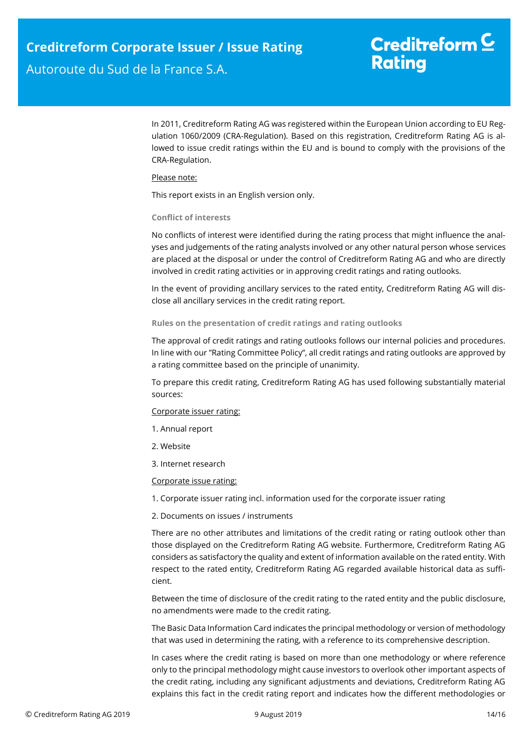# Creditreform  $\underline{\mathsf{C}}$ **Rating**

In 2011, Creditreform Rating AG was registered within the European Union according to EU Regulation 1060/2009 (CRA-Regulation). Based on this registration, Creditreform Rating AG is allowed to issue credit ratings within the EU and is bound to comply with the provisions of the CRA-Regulation.

#### Please note:

This report exists in an English version only.

#### **Conflict of interests**

No conflicts of interest were identified during the rating process that might influence the analyses and judgements of the rating analysts involved or any other natural person whose services are placed at the disposal or under the control of Creditreform Rating AG and who are directly involved in credit rating activities or in approving credit ratings and rating outlooks.

In the event of providing ancillary services to the rated entity, Creditreform Rating AG will disclose all ancillary services in the credit rating report.

#### **Rules on the presentation of credit ratings and rating outlooks**

The approval of credit ratings and rating outlooks follows our internal policies and procedures. In line with our "Rating Committee Policy", all credit ratings and rating outlooks are approved by a rating committee based on the principle of unanimity.

To prepare this credit rating, Creditreform Rating AG has used following substantially material sources:

#### Corporate issuer rating:

- 1. Annual report
- 2. Website
- 3. Internet research

#### Corporate issue rating:

1. Corporate issuer rating incl. information used for the corporate issuer rating

2. Documents on issues / instruments

There are no other attributes and limitations of the credit rating or rating outlook other than those displayed on the Creditreform Rating AG website. Furthermore, Creditreform Rating AG considers as satisfactory the quality and extent of information available on the rated entity. With respect to the rated entity, Creditreform Rating AG regarded available historical data as sufficient.

Between the time of disclosure of the credit rating to the rated entity and the public disclosure, no amendments were made to the credit rating.

The Basic Data Information Card indicates the principal methodology or version of methodology that was used in determining the rating, with a reference to its comprehensive description.

In cases where the credit rating is based on more than one methodology or where reference only to the principal methodology might cause investors to overlook other important aspects of the credit rating, including any significant adjustments and deviations, Creditreform Rating AG explains this fact in the credit rating report and indicates how the different methodologies or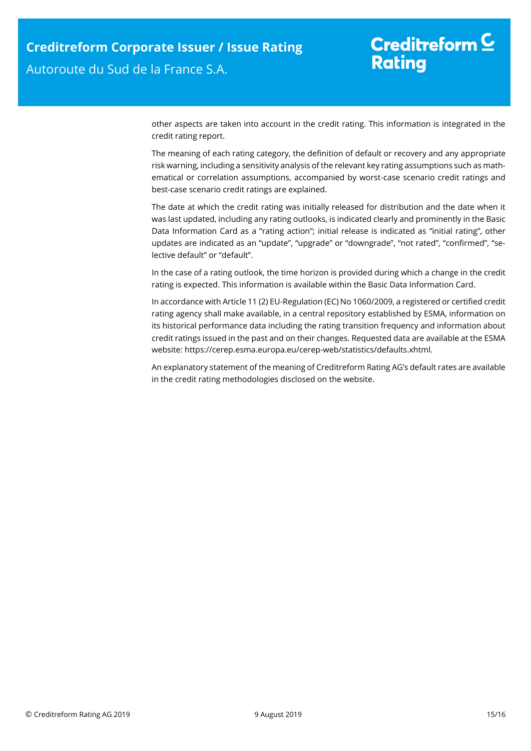# Creditreform  $\underline{\mathsf{C}}$ **Rating**

other aspects are taken into account in the credit rating. This information is integrated in the credit rating report.

The meaning of each rating category, the definition of default or recovery and any appropriate risk warning, including a sensitivity analysis of the relevant key rating assumptions such as mathematical or correlation assumptions, accompanied by worst-case scenario credit ratings and best-case scenario credit ratings are explained.

The date at which the credit rating was initially released for distribution and the date when it was last updated, including any rating outlooks, is indicated clearly and prominently in the Basic Data Information Card as a "rating action"; initial release is indicated as "initial rating", other updates are indicated as an "update", "upgrade" or "downgrade", "not rated", "confirmed", "selective default" or "default".

In the case of a rating outlook, the time horizon is provided during which a change in the credit rating is expected. This information is available within the Basic Data Information Card.

In accordance with Article 11 (2) EU-Regulation (EC) No 1060/2009, a registered or certified credit rating agency shall make available, in a central repository established by ESMA, information on its historical performance data including the rating transition frequency and information about credit ratings issued in the past and on their changes. Requested data are available at the ESMA website: https://cerep.esma.europa.eu/cerep-web/statistics/defaults.xhtml.

An explanatory statement of the meaning of Creditreform Rating AG's default rates are available in the credit rating methodologies disclosed on the website.